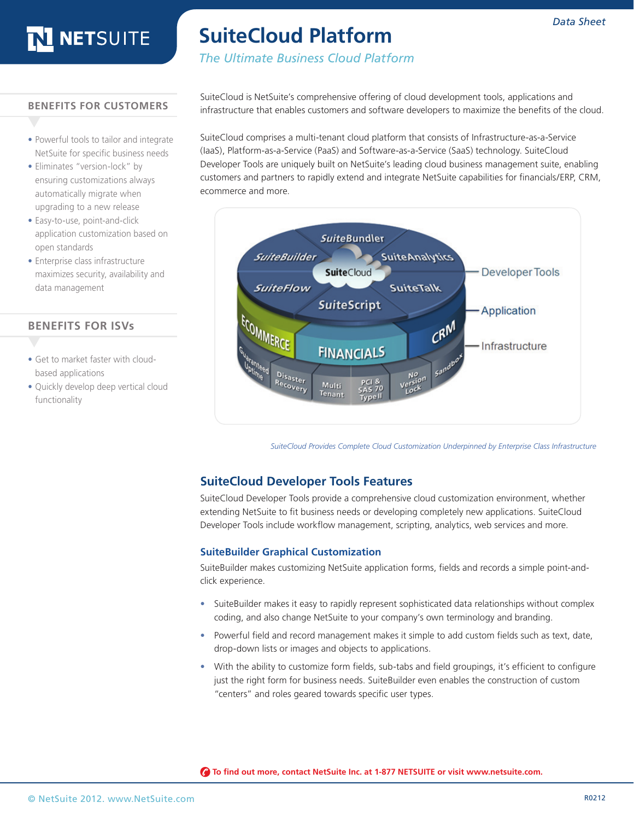### **SuiteCloud Platform**

### *The Ultimate Business Cloud Platform*

#### **BENEFITS FOR CUSTOMERS**

- **•** Powerful tools to tailor and integrate NetSuite for specific business needs
- Eliminates "version-lock" by ensuring customizations always automatically migrate when upgrading to a new release
- **•** Easy-to-use, point-and-click application customization based on open standards
- **•** Enterprise class infrastructure maximizes security, availability and data management

#### **BENEFITS FOR ISVs**

- Get to market faster with cloudbased applications
- **•** Quickly develop deep vertical cloud functionality

SuiteCloud is NetSuite's comprehensive offering of cloud development tools, applications and infrastructure that enables customers and software developers to maximize the benefits of the cloud.

SuiteCloud comprises a multi-tenant cloud platform that consists of Infrastructure-as-a-Service (IaaS), Platform-as-a-Service (PaaS) and Software-as-a-Service (SaaS) technology. SuiteCloud Developer Tools are uniquely built on NetSuite's leading cloud business management suite, enabling customers and partners to rapidly extend and integrate NetSuite capabilities for financials/ERP, CRM, ecommerce and more.



*SuiteCloud Provides Complete Cloud Customization Underpinned by Enterprise Class Infrastructure*

#### **SuiteCloud Developer Tools Features**

SuiteCloud Developer Tools provide a comprehensive cloud customization environment, whether extending NetSuite to fit business needs or developing completely new applications. SuiteCloud Developer Tools include workflow management, scripting, analytics, web services and more.

#### **SuiteBuilder Graphical Customization**

SuiteBuilder makes customizing NetSuite application forms, fields and records a simple point-andclick experience.

- SuiteBuilder makes it easy to rapidly represent sophisticated data relationships without complex coding, and also change NetSuite to your company's own terminology and branding.
- **•**  Powerful field and record management makes it simple to add custom fields such as text, date, drop-down lists or images and objects to applications.
- **•**  With the ability to customize form fields, sub-tabs and field groupings, it's efficient to configure just the right form for business needs. SuiteBuilder even enables the construction of custom "centers" and roles geared towards specific user types.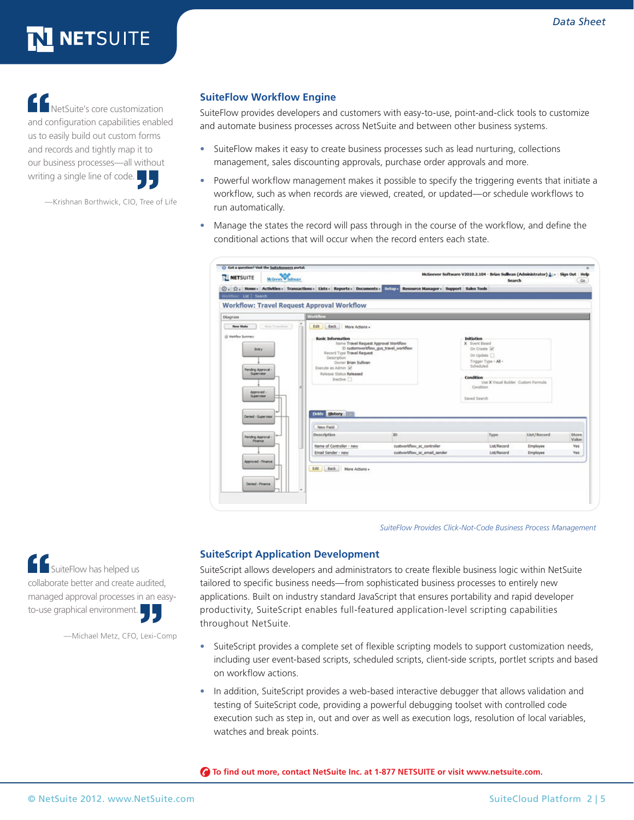NetSuite's core customization and configuration capabilities enabled us to easily build out custom forms and records and tightly map it to our business processes—all without writing a single line of code.

—Krishnan Borthwick, CIO, Tree of Life

#### **SuiteFlow Workflow Engine**

SuiteFlow provides developers and customers with easy-to-use, point-and-click tools to customize and automate business processes across NetSuite and between other business systems.

- SuiteFlow makes it easy to create business processes such as lead nurturing, collections management, sales discounting approvals, purchase order approvals and more.
- **•**  Powerful workflow management makes it possible to specify the triggering events that initiate a workflow, such as when records are viewed, created, or updated—or schedule workflows to run automatically.
- **•**  Manage the states the record will pass through in the course of the workflow, and define the conditional actions that will occur when the record enters each state.

| NETSUITE                                                                                                                 | McGrews W Software |                                                                                                                                                                                                                                   |                                       | McGeever Software V2010.2.104 - Brian Sullivan (Administrator) A :-   Sign Out   Help                          | Search                                                      |             | Go             |
|--------------------------------------------------------------------------------------------------------------------------|--------------------|-----------------------------------------------------------------------------------------------------------------------------------------------------------------------------------------------------------------------------------|---------------------------------------|----------------------------------------------------------------------------------------------------------------|-------------------------------------------------------------|-------------|----------------|
|                                                                                                                          |                    | ① 、 ☆ 。 Home 。 Activities 。 Transactions 。 Lists 。 Reports 。 Documents 。 Situp , Resource Manager 。 Support Sales Tools                                                                                                           |                                       |                                                                                                                |                                                             |             |                |
| Worldfow: List Search                                                                                                    |                    |                                                                                                                                                                                                                                   |                                       |                                                                                                                |                                                             |             |                |
|                                                                                                                          |                    | <b>Workflow: Travel Request Approval Workflow</b>                                                                                                                                                                                 |                                       |                                                                                                                |                                                             |             |                |
| Diagram                                                                                                                  |                    | <b>Workflow</b>                                                                                                                                                                                                                   |                                       |                                                                                                                |                                                             |             |                |
| New State                                                                                                                | New Transition     | Edit Back More Actions .                                                                                                                                                                                                          |                                       |                                                                                                                |                                                             |             |                |
| @ Worldon Summary<br>Entry<br>Pending Approval -<br>Supervisor<br>Approved -<br><b>Supervisor</b><br>Denied - Supervisor |                    | <b>Basic Information</b><br>Name Travel Request Approval Worldfow<br>Record Type Travel Request<br>Description<br>Owner Brian Sullivan<br>Execute as Admin [w]<br>Release Status Released<br>Inactive []<br><b>Fields</b> History | ID customworldfow gus travel worldfow | Initiation<br>X Event Based<br>On Create M<br>On Update<br>Scheduled<br>Condition<br>Condition<br>Saved Search | Trigger Type - All -<br>Use X Visual Builder Custom Formula |             |                |
|                                                                                                                          |                    | New Field                                                                                                                                                                                                                         |                                       |                                                                                                                |                                                             |             |                |
| Pending Approval -<br>Finance                                                                                            |                    | <b>Description</b>                                                                                                                                                                                                                | ID                                    |                                                                                                                | Type                                                        | List/Record | Store<br>Value |
|                                                                                                                          |                    | Name of Controller - new                                                                                                                                                                                                          | custworkflow_sc_controller            |                                                                                                                | List/Record                                                 | Employee    | Yes            |
|                                                                                                                          |                    | Email Sender - new                                                                                                                                                                                                                | custworkflow sc email sender          |                                                                                                                | List/Record                                                 | Employee    | Yes            |
| Approved - Finance<br>Denied - Finance                                                                                   |                    | Edit Back More Actions .                                                                                                                                                                                                          |                                       |                                                                                                                |                                                             |             |                |

*SuiteFlow Provides Click-Not-Code Business Process Management*

**SuiteFlow has helped us** collaborate better and create audited, managed approval processes in an easyto-use graphical environment.

—Michael Metz, CFO, Lexi-Comp

#### **SuiteScript Application Development**

SuiteScript allows developers and administrators to create flexible business logic within NetSuite tailored to specific business needs—from sophisticated business processes to entirely new applications. Built on industry standard JavaScript that ensures portability and rapid developer productivity, SuiteScript enables full-featured application-level scripting capabilities throughout NetSuite.

- **•**  SuiteScript provides a complete set of flexible scripting models to support customization needs, including user event-based scripts, scheduled scripts, client-side scripts, portlet scripts and based on workflow actions.
- **•**  In addition, SuiteScript provides a web-based interactive debugger that allows validation and testing of SuiteScript code, providing a powerful debugging toolset with controlled code execution such as step in, out and over as well as execution logs, resolution of local variables, watches and break points.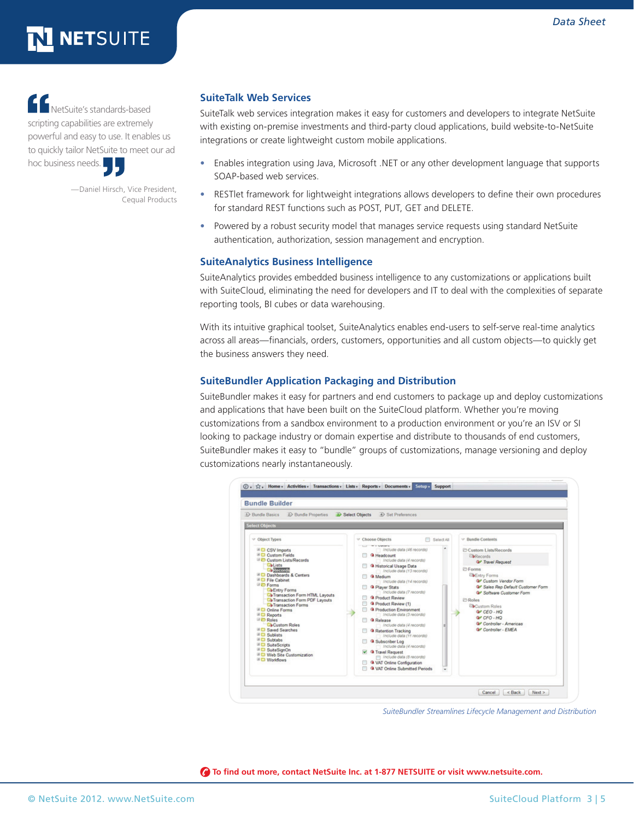# LETSUITE

NetSuite's standards-based scripting capabilities are extremely powerful and easy to use. It enables us to quickly tailor NetSuite to meet our ad hoc business needs.

> —Daniel Hirsch, Vice President, Cequal Products

#### **SuiteTalk Web Services**

SuiteTalk web services integration makes it easy for customers and developers to integrate NetSuite with existing on-premise investments and third-party cloud applications, build website-to-NetSuite integrations or create lightweight custom mobile applications.

- **•**  Enables integration using Java, Microsoft .NET or any other development language that supports SOAP-based web services.
- **•**  RESTlet framework for lightweight integrations allows developers to define their own procedures for standard REST functions such as POST, PUT, GET and DELETE.
- **•**  Powered by a robust security model that manages service requests using standard NetSuite authentication, authorization, session management and encryption.

#### **SuiteAnalytics Business Intelligence**

SuiteAnalytics provides embedded business intelligence to any customizations or applications built with SuiteCloud, eliminating the need for developers and IT to deal with the complexities of separate reporting tools, BI cubes or data warehousing.

With its intuitive graphical toolset, SuiteAnalytics enables end-users to self-serve real-time analytics across all areas—financials, orders, customers, opportunities and all custom objects—to quickly get the business answers they need.

#### **SuiteBundler Application Packaging and Distribution**

SuiteBundler makes it easy for partners and end customers to package up and deploy customizations and applications that have been built on the SuiteCloud platform. Whether you're moving customizations from a sandbox environment to a production environment or you're an ISV or SI looking to package industry or domain expertise and distribute to thousands of end customers, SuiteBundler makes it easy to "bundle" groups of customizations, manage versioning and deploy customizations nearly instantaneously.



*SuiteBundler Streamlines Lifecycle Management and Distribution*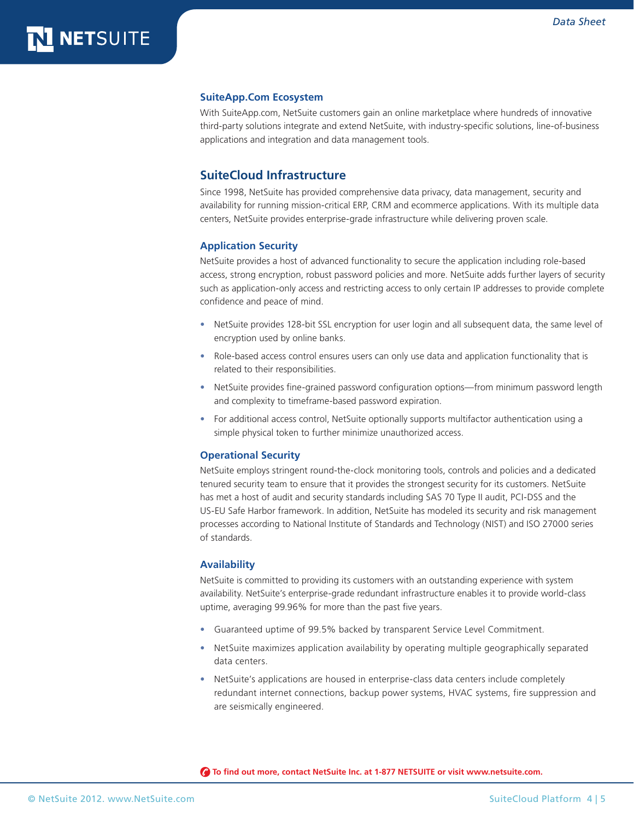#### **SuiteApp.Com Ecosystem**

With SuiteApp.com, NetSuite customers gain an online marketplace where hundreds of innovative third-party solutions integrate and extend NetSuite, with industry-specific solutions, line-of-business applications and integration and data management tools.

#### **SuiteCloud Infrastructure**

Since 1998, NetSuite has provided comprehensive data privacy, data management, security and availability for running mission-critical ERP, CRM and ecommerce applications. With its multiple data centers, NetSuite provides enterprise-grade infrastructure while delivering proven scale.

#### **Application Security**

NetSuite provides a host of advanced functionality to secure the application including role-based access, strong encryption, robust password policies and more. NetSuite adds further layers of security such as application-only access and restricting access to only certain IP addresses to provide complete confidence and peace of mind.

- **•**  NetSuite provides 128-bit SSL encryption for user login and all subsequent data, the same level of encryption used by online banks.
- Role-based access control ensures users can only use data and application functionality that is related to their responsibilities.
- **•**  NetSuite provides fine-grained password configuration options—from minimum password length and complexity to timeframe-based password expiration.
- **•**  For additional access control, NetSuite optionally supports multifactor authentication using a simple physical token to further minimize unauthorized access.

#### **Operational Security**

NetSuite employs stringent round-the-clock monitoring tools, controls and policies and a dedicated tenured security team to ensure that it provides the strongest security for its customers. NetSuite has met a host of audit and security standards including SAS 70 Type II audit, PCI-DSS and the US-EU Safe Harbor framework. In addition, NetSuite has modeled its security and risk management processes according to National Institute of Standards and Technology (NIST) and ISO 27000 series of standards.

#### **Availability**

NetSuite is committed to providing its customers with an outstanding experience with system availability. NetSuite's enterprise-grade redundant infrastructure enables it to provide world-class uptime, averaging 99.96% for more than the past five years.

- **•**  Guaranteed uptime of 99.5% backed by transparent Service Level Commitment.
- **•**  NetSuite maximizes application availability by operating multiple geographically separated data centers.
- NetSuite's applications are housed in enterprise-class data centers include completely redundant internet connections, backup power systems, HVAC systems, fire suppression and are seismically engineered.